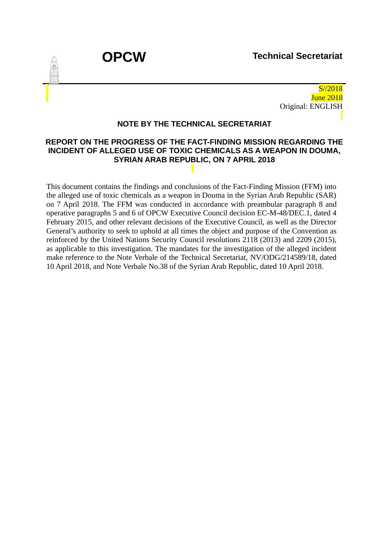

S//2018 June 2018 Original: ENGLISH

#### **NOTE BY THE TECHNICAL SECRETARIAT**

#### **REPORT ON THE PROGRESS OF THE FACT-FINDING MISSION REGARDING THE INCIDENT OF ALLEGED USE OF TOXIC CHEMICALS AS A WEAPON IN DOUMA, SYRIAN ARAB REPUBLIC, ON 7 APRIL 2018**

This document contains the findings and conclusions of the Fact-Finding Mission (FFM) into the alleged use of toxic chemicals as a weapon in Douma in the Syrian Arab Republic (SAR) on 7 April 2018. The FFM was conducted in accordance with preambular paragraph 8 and operative paragraphs 5 and 6 of OPCW Executive Council decision EC-M-48/DEC.1, dated 4 February 2015, and other relevant decisions of the Executive Council, as well as the Director General's authority to seek to uphold at all times the object and purpose of the Convention as reinforced by the United Nations Security Council resolutions 2118 (2013) and 2209 (2015), as applicable to this investigation. The mandates for the investigation of the alleged incident make reference to the Note Verbale of the Technical Secretariat, NV/ODG/214589/18, dated 10 April 2018, and Note Verbale No.38 of the Syrian Arab Republic, dated 10 April 2018.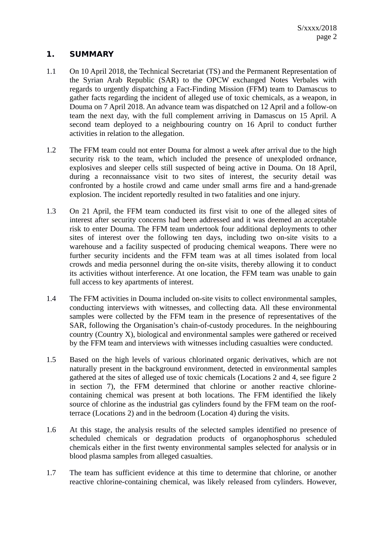## **1. SUMMARY**

- 1.1 On 10 April 2018, the Technical Secretariat (TS) and the Permanent Representation of the Syrian Arab Republic (SAR) to the OPCW exchanged Notes Verbales with regards to urgently dispatching a Fact-Finding Mission (FFM) team to Damascus to gather facts regarding the incident of alleged use of toxic chemicals, as a weapon, in Douma on 7 April 2018. An advance team was dispatched on 12 April and a follow-on team the next day, with the full complement arriving in Damascus on 15 April. A second team deployed to a neighbouring country on 16 April to conduct further activities in relation to the allegation.
- 1.2 The FFM team could not enter Douma for almost a week after arrival due to the high security risk to the team, which included the presence of unexploded ordnance, explosives and sleeper cells still suspected of being active in Douma. On 18 April, during a reconnaissance visit to two sites of interest, the security detail was confronted by a hostile crowd and came under small arms fire and a hand-grenade explosion. The incident reportedly resulted in two fatalities and one injury.
- 1.3 On 21 April, the FFM team conducted its first visit to one of the alleged sites of interest after security concerns had been addressed and it was deemed an acceptable risk to enter Douma. The FFM team undertook four additional deployments to other sites of interest over the following ten days, including two on-site visits to a warehouse and a facility suspected of producing chemical weapons. There were no further security incidents and the FFM team was at all times isolated from local crowds and media personnel during the on-site visits, thereby allowing it to conduct its activities without interference. At one location, the FFM team was unable to gain full access to key apartments of interest.
- 1.4 The FFM activities in Douma included on-site visits to collect environmental samples, conducting interviews with witnesses, and collecting data. All these environmental samples were collected by the FFM team in the presence of representatives of the SAR, following the Organisation's chain-of-custody procedures. In the neighbouring country (Country X), biological and environmental samples were gathered or received by the FFM team and interviews with witnesses including casualties were conducted.
- 1.5 Based on the high levels of various chlorinated organic derivatives, which are not naturally present in the background environment, detected in environmental samples gathered at the sites of alleged use of toxic chemicals (Locations 2 and 4, see figure 2 in section 7), the FFM determined that chlorine or another reactive chlorinecontaining chemical was present at both locations. The FFM identified the likely source of chlorine as the industrial gas cylinders found by the FFM team on the roofterrace (Locations 2) and in the bedroom (Location 4) during the visits.
- 1.6 At this stage, the analysis results of the selected samples identified no presence of scheduled chemicals or degradation products of organophosphorus scheduled chemicals either in the first twenty environmental samples selected for analysis or in blood plasma samples from alleged casualties.
- 1.7 The team has sufficient evidence at this time to determine that chlorine, or another reactive chlorine-containing chemical, was likely released from cylinders. However,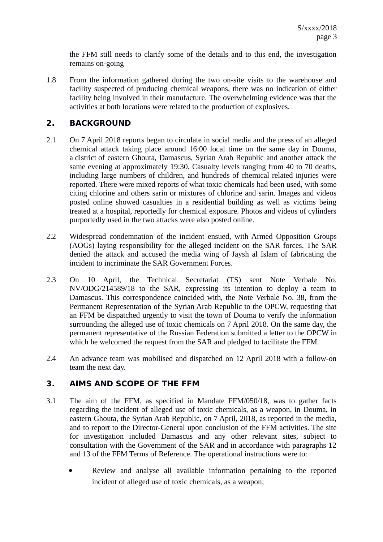the FFM still needs to clarify some of the details and to this end, the investigation remains on-going

1.8 From the information gathered during the two on-site visits to the warehouse and facility suspected of producing chemical weapons, there was no indication of either facility being involved in their manufacture. The overwhelming evidence was that the activities at both locations were related to the production of explosives.

## **2. BACKGROUND**

- 2.1 On 7 April 2018 reports began to circulate in social media and the press of an alleged chemical attack taking place around 16:00 local time on the same day in Douma, a district of eastern Ghouta, Damascus, Syrian Arab Republic and another attack the same evening at approximately 19:30. Casualty levels ranging from 40 to 70 deaths, including large numbers of children, and hundreds of chemical related injuries were reported. There were mixed reports of what toxic chemicals had been used, with some citing chlorine and others sarin or mixtures of chlorine and sarin. Images and videos posted online showed casualties in a residential building as well as victims being treated at a hospital, reportedly for chemical exposure. Photos and videos of cylinders purportedly used in the two attacks were also posted online.
- 2.2 Widespread condemnation of the incident ensued, with Armed Opposition Groups (AOGs) laying responsibility for the alleged incident on the SAR forces. The SAR denied the attack and accused the media wing of Jaysh al Islam of fabricating the incident to incriminate the SAR Government Forces.
- 2.3 On 10 April, the Technical Secretariat (TS) sent Note Verbale No. NV/ODG/214589/18 to the SAR, expressing its intention to deploy a team to Damascus. This correspondence coincided with, the Note Verbale No. 38, from the Permanent Representation of the Syrian Arab Republic to the OPCW, requesting that an FFM be dispatched urgently to visit the town of Douma to verify the information surrounding the alleged use of toxic chemicals on 7 April 2018. On the same day, the permanent representative of the Russian Federation submitted a letter to the OPCW in which he welcomed the request from the SAR and pledged to facilitate the FFM.
- 2.4 An advance team was mobilised and dispatched on 12 April 2018 with a follow-on team the next day.

## **3. AIMS AND SCOPE OF THE FFM**

- 3.1 The aim of the FFM, as specified in Mandate FFM/050/18, was to gather facts regarding the incident of alleged use of toxic chemicals, as a weapon, in Douma, in eastern Ghouta, the Syrian Arab Republic, on 7 April, 2018, as reported in the media, and to report to the Director-General upon conclusion of the FFM activities. The site for investigation included Damascus and any other relevant sites, subject to consultation with the Government of the SAR and in accordance with paragraphs 12 and 13 of the FFM Terms of Reference. The operational instructions were to:
	- Review and analyse all available information pertaining to the reported incident of alleged use of toxic chemicals, as a weapon;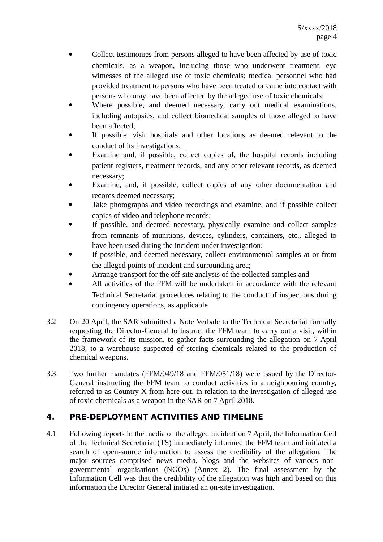- Collect testimonies from persons alleged to have been affected by use of toxic chemicals, as a weapon, including those who underwent treatment; eye witnesses of the alleged use of toxic chemicals; medical personnel who had provided treatment to persons who have been treated or came into contact with persons who may have been affected by the alleged use of toxic chemicals;
- Where possible, and deemed necessary, carry out medical examinations, including autopsies, and collect biomedical samples of those alleged to have been affected;
- If possible, visit hospitals and other locations as deemed relevant to the conduct of its investigations;
- Examine and, if possible, collect copies of, the hospital records including patient registers, treatment records, and any other relevant records, as deemed necessary;
- Examine, and, if possible, collect copies of any other documentation and records deemed necessary;
- Take photographs and video recordings and examine, and if possible collect copies of video and telephone records;
- If possible, and deemed necessary, physically examine and collect samples from remnants of munitions, devices, cylinders, containers, etc., alleged to have been used during the incident under investigation;
- If possible, and deemed necessary, collect environmental samples at or from the alleged points of incident and surrounding area;
- Arrange transport for the off-site analysis of the collected samples and
- All activities of the FFM will be undertaken in accordance with the relevant Technical Secretariat procedures relating to the conduct of inspections during contingency operations, as applicable
- 3.2 On 20 April, the SAR submitted a Note Verbale to the Technical Secretariat formally requesting the Director-General to instruct the FFM team to carry out a visit, within the framework of its mission, to gather facts surrounding the allegation on 7 April 2018, to a warehouse suspected of storing chemicals related to the production of chemical weapons.
- 3.3 Two further mandates (FFM/049/18 and FFM/051/18) were issued by the Director-General instructing the FFM team to conduct activities in a neighbouring country, referred to as Country X from here out, in relation to the investigation of alleged use of toxic chemicals as a weapon in the SAR on 7 April 2018.

# **4. PRE-DEPLOYMENT ACTIVITIES AND TIMELINE**

4.1 Following reports in the media of the alleged incident on 7 April, the Information Cell of the Technical Secretariat (TS) immediately informed the FFM team and initiated a search of open-source information to assess the credibility of the allegation. The major sources comprised news media, blogs and the websites of various nongovernmental organisations (NGOs) (Annex 2). The final assessment by the Information Cell was that the credibility of the allegation was high and based on this information the Director General initiated an on-site investigation.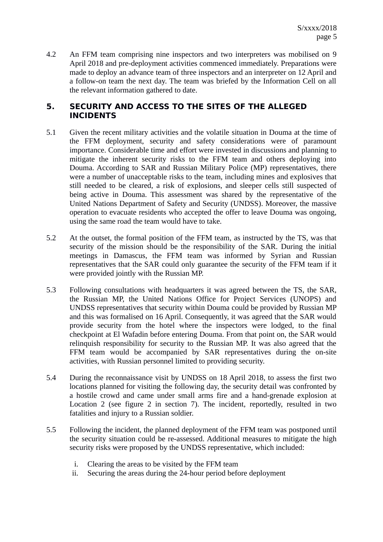4.2 An FFM team comprising nine inspectors and two interpreters was mobilised on 9 April 2018 and pre-deployment activities commenced immediately. Preparations were made to deploy an advance team of three inspectors and an interpreter on 12 April and a follow-on team the next day. The team was briefed by the Information Cell on all the relevant information gathered to date.

## **5. SECURITY AND ACCESS TO THE SITES OF THE ALLEGED INCIDENTS**

- 5.1 Given the recent military activities and the volatile situation in Douma at the time of the FFM deployment, security and safety considerations were of paramount importance. Considerable time and effort were invested in discussions and planning to mitigate the inherent security risks to the FFM team and others deploying into Douma. According to SAR and Russian Military Police (MP) representatives, there were a number of unacceptable risks to the team, including mines and explosives that still needed to be cleared, a risk of explosions, and sleeper cells still suspected of being active in Douma. This assessment was shared by the representative of the United Nations Department of Safety and Security (UNDSS). Moreover, the massive operation to evacuate residents who accepted the offer to leave Douma was ongoing, using the same road the team would have to take.
- 5.2 At the outset, the formal position of the FFM team, as instructed by the TS, was that security of the mission should be the responsibility of the SAR. During the initial meetings in Damascus, the FFM team was informed by Syrian and Russian representatives that the SAR could only guarantee the security of the FFM team if it were provided jointly with the Russian MP.
- 5.3 Following consultations with headquarters it was agreed between the TS, the SAR, the Russian MP, the United Nations Office for Project Services (UNOPS) and UNDSS representatives that security within Douma could be provided by Russian MP and this was formalised on 16 April. Consequently, it was agreed that the SAR would provide security from the hotel where the inspectors were lodged, to the final checkpoint at El Wafadin before entering Douma. From that point on, the SAR would relinquish responsibility for security to the Russian MP. It was also agreed that the FFM team would be accompanied by SAR representatives during the on-site activities, with Russian personnel limited to providing security.
- 5.4 During the reconnaissance visit by UNDSS on 18 April 2018, to assess the first two locations planned for visiting the following day, the security detail was confronted by a hostile crowd and came under small arms fire and a hand-grenade explosion at Location 2 (see figure 2 in section 7). The incident, reportedly, resulted in two fatalities and injury to a Russian soldier.
- 5.5 Following the incident, the planned deployment of the FFM team was postponed until the security situation could be re-assessed. Additional measures to mitigate the high security risks were proposed by the UNDSS representative, which included:
	- i. Clearing the areas to be visited by the FFM team
	- ii. Securing the areas during the 24-hour period before deployment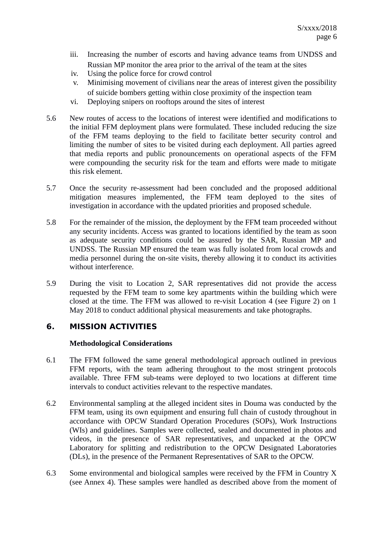- iii. Increasing the number of escorts and having advance teams from UNDSS and Russian MP monitor the area prior to the arrival of the team at the sites
- iv. Using the police force for crowd control
- v. Minimising movement of civilians near the areas of interest given the possibility of suicide bombers getting within close proximity of the inspection team
- vi. Deploying snipers on rooftops around the sites of interest
- 5.6 New routes of access to the locations of interest were identified and modifications to the initial FFM deployment plans were formulated. These included reducing the size of the FFM teams deploying to the field to facilitate better security control and limiting the number of sites to be visited during each deployment. All parties agreed that media reports and public pronouncements on operational aspects of the FFM were compounding the security risk for the team and efforts were made to mitigate this risk element.
- 5.7 Once the security re-assessment had been concluded and the proposed additional mitigation measures implemented, the FFM team deployed to the sites of investigation in accordance with the updated priorities and proposed schedule.
- 5.8 For the remainder of the mission, the deployment by the FFM team proceeded without any security incidents. Access was granted to locations identified by the team as soon as adequate security conditions could be assured by the SAR, Russian MP and UNDSS. The Russian MP ensured the team was fully isolated from local crowds and media personnel during the on-site visits, thereby allowing it to conduct its activities without interference.
- 5.9 During the visit to Location 2, SAR representatives did not provide the access requested by the FFM team to some key apartments within the building which were closed at the time. The FFM was allowed to re-visit Location 4 (see Figure 2) on 1 May 2018 to conduct additional physical measurements and take photographs.

## **6. MISSION ACTIVITIES**

#### **Methodological Considerations**

- 6.1 The FFM followed the same general methodological approach outlined in previous FFM reports, with the team adhering throughout to the most stringent protocols available. Three FFM sub-teams were deployed to two locations at different time intervals to conduct activities relevant to the respective mandates.
- 6.2 Environmental sampling at the alleged incident sites in Douma was conducted by the FFM team, using its own equipment and ensuring full chain of custody throughout in accordance with OPCW Standard Operation Procedures (SOPs), Work Instructions (WIs) and guidelines. Samples were collected, sealed and documented in photos and videos, in the presence of SAR representatives, and unpacked at the OPCW Laboratory for splitting and redistribution to the OPCW Designated Laboratories (DLs), in the presence of the Permanent Representatives of SAR to the OPCW.
- 6.3 Some environmental and biological samples were received by the FFM in Country X (see Annex 4). These samples were handled as described above from the moment of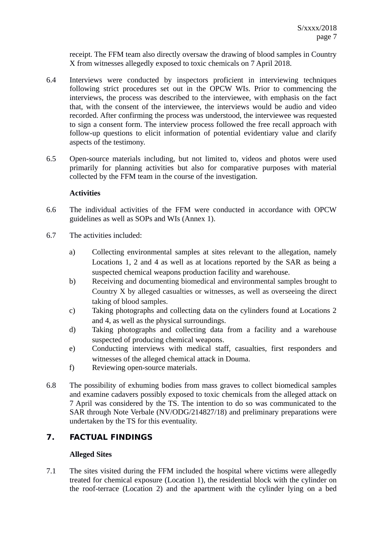receipt. The FFM team also directly oversaw the drawing of blood samples in Country X from witnesses allegedly exposed to toxic chemicals on 7 April 2018.

- 6.4 Interviews were conducted by inspectors proficient in interviewing techniques following strict procedures set out in the OPCW WIs. Prior to commencing the interviews, the process was described to the interviewee, with emphasis on the fact that, with the consent of the interviewee, the interviews would be audio and video recorded. After confirming the process was understood, the interviewee was requested to sign a consent form. The interview process followed the free recall approach with follow-up questions to elicit information of potential evidentiary value and clarify aspects of the testimony.
- 6.5 Open-source materials including, but not limited to, videos and photos were used primarily for planning activities but also for comparative purposes with material collected by the FFM team in the course of the investigation.

#### **Activities**

- 6.6 The individual activities of the FFM were conducted in accordance with OPCW guidelines as well as SOPs and WIs (Annex 1).
- 6.7 The activities included:
	- a) Collecting environmental samples at sites relevant to the allegation, namely Locations 1, 2 and 4 as well as at locations reported by the SAR as being a suspected chemical weapons production facility and warehouse.
	- b) Receiving and documenting biomedical and environmental samples brought to Country X by alleged casualties or witnesses, as well as overseeing the direct taking of blood samples.
	- c) Taking photographs and collecting data on the cylinders found at Locations 2 and 4, as well as the physical surroundings.
	- d) Taking photographs and collecting data from a facility and a warehouse suspected of producing chemical weapons.
	- e) Conducting interviews with medical staff, casualties, first responders and witnesses of the alleged chemical attack in Douma.
	- f) Reviewing open-source materials.
- 6.8 The possibility of exhuming bodies from mass graves to collect biomedical samples and examine cadavers possibly exposed to toxic chemicals from the alleged attack on 7 April was considered by the TS. The intention to do so was communicated to the SAR through Note Verbale (NV/ODG/214827/18) and preliminary preparations were undertaken by the TS for this eventuality.

## **7. FACTUAL FINDINGS**

#### **Alleged Sites**

7.1 The sites visited during the FFM included the hospital where victims were allegedly treated for chemical exposure (Location 1), the residential block with the cylinder on the roof-terrace (Location 2) and the apartment with the cylinder lying on a bed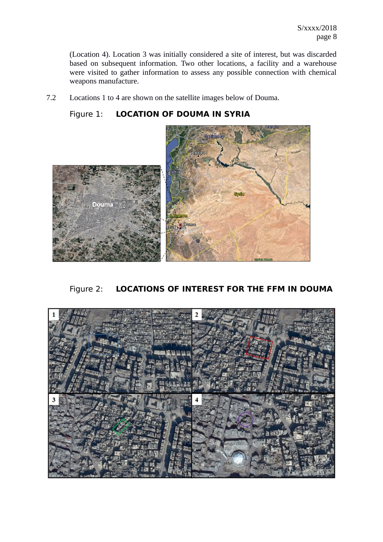(Location 4). Location 3 was initially considered a site of interest, but was discarded based on subsequent information. Two other locations, a facility and a warehouse were visited to gather information to assess any possible connection with chemical weapons manufacture.

7.2 Locations 1 to 4 are shown on the satellite images below of Douma.





Figure 2: **LOCATIONS OF INTEREST FOR THE FFM IN DOUMA**

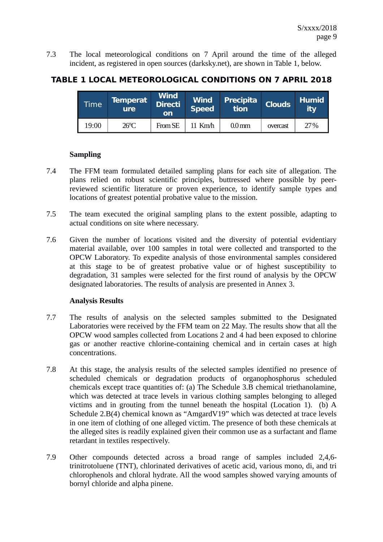7.3 The local meteorological conditions on 7 April around the time of the alleged incident, as registered in open sources (darksky.net), are shown in Table 1, below.

## **TABLE 1 LOCAL METEOROLOGICAL CONDITIONS ON 7 APRIL 2018**

| Time  | <b>Temperat</b><br><b>ure</b> | Wind<br>Directi<br>on | Wind  <br><b>Speed</b> | <b>Precipita</b><br><b>tion</b> | <b>Clouds</b> | <b>Humid</b><br>itv |
|-------|-------------------------------|-----------------------|------------------------|---------------------------------|---------------|---------------------|
| 19:00 | $26^{\circ}$ C                | From SE               | $11$ Km $/h$           | 0.0 <sub>mm</sub>               | overcast      | 27%                 |

#### **Sampling**

- 7.4 The FFM team formulated detailed sampling plans for each site of allegation. The plans relied on robust scientific principles, buttressed where possible by peerreviewed scientific literature or proven experience, to identify sample types and locations of greatest potential probative value to the mission.
- 7.5 The team executed the original sampling plans to the extent possible, adapting to actual conditions on site where necessary.
- 7.6 Given the number of locations visited and the diversity of potential evidentiary material available, over 100 samples in total were collected and transported to the OPCW Laboratory. To expedite analysis of those environmental samples considered at this stage to be of greatest probative value or of highest susceptibility to degradation, 31 samples were selected for the first round of analysis by the OPCW designated laboratories. The results of analysis are presented in Annex 3.

#### **Analysis Results**

- 7.7 The results of analysis on the selected samples submitted to the Designated Laboratories were received by the FFM team on 22 May. The results show that all the OPCW wood samples collected from Locations 2 and 4 had been exposed to chlorine gas or another reactive chlorine-containing chemical and in certain cases at high concentrations.
- 7.8 At this stage, the analysis results of the selected samples identified no presence of scheduled chemicals or degradation products of organophosphorus scheduled chemicals except trace quantities of: (a) The Schedule 3.B chemical triethanolamine, which was detected at trace levels in various clothing samples belonging to alleged victims and in grouting from the tunnel beneath the hospital (Location 1). (b) A Schedule 2.B(4) chemical known as "AmgardV19" which was detected at trace levels in one item of clothing of one alleged victim. The presence of both these chemicals at the alleged sites is readily explained given their common use as a surfactant and flame retardant in textiles respectively.
- 7.9 Other compounds detected across a broad range of samples included 2,4,6 trinitrotoluene (TNT), chlorinated derivatives of acetic acid, various mono, di, and tri chlorophenols and chloral hydrate. All the wood samples showed varying amounts of bornyl chloride and alpha pinene.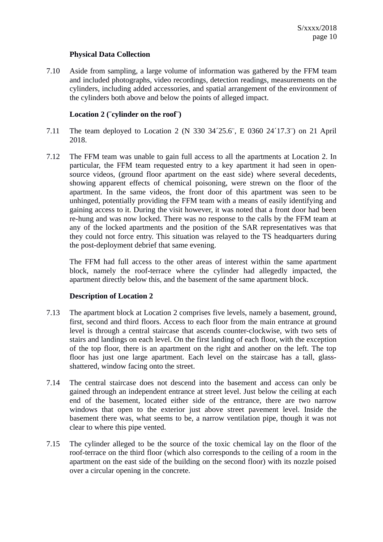#### **Physical Data Collection**

7.10 Aside from sampling, a large volume of information was gathered by the FFM team and included photographs, video recordings, detection readings, measurements on the cylinders, including added accessories, and spatial arrangement of the environment of the cylinders both above and below the points of alleged impact.

#### **Location 2 (¨cylinder on the roof¨)**

- 7.11 The team deployed to Location 2 (N 330 34´25.6¨, E 0360 24´17.3¨) on 21 April 2018.
- 7.12 The FFM team was unable to gain full access to all the apartments at Location 2. In particular, the FFM team requested entry to a key apartment it had seen in opensource videos, (ground floor apartment on the east side) where several decedents, showing apparent effects of chemical poisoning, were strewn on the floor of the apartment. In the same videos, the front door of this apartment was seen to be unhinged, potentially providing the FFM team with a means of easily identifying and gaining access to it. During the visit however, it was noted that a front door had been re-hung and was now locked. There was no response to the calls by the FFM team at any of the locked apartments and the position of the SAR representatives was that they could not force entry. This situation was relayed to the TS headquarters during the post-deployment debrief that same evening.

The FFM had full access to the other areas of interest within the same apartment block, namely the roof-terrace where the cylinder had allegedly impacted, the apartment directly below this, and the basement of the same apartment block.

#### **Description of Location 2**

- 7.13 The apartment block at Location 2 comprises five levels, namely a basement, ground, first, second and third floors. Access to each floor from the main entrance at ground level is through a central staircase that ascends counter-clockwise, with two sets of stairs and landings on each level. On the first landing of each floor, with the exception of the top floor, there is an apartment on the right and another on the left. The top floor has just one large apartment. Each level on the staircase has a tall, glassshattered, window facing onto the street.
- 7.14 The central staircase does not descend into the basement and access can only be gained through an independent entrance at street level. Just below the ceiling at each end of the basement, located either side of the entrance, there are two narrow windows that open to the exterior just above street pavement level. Inside the basement there was, what seems to be, a narrow ventilation pipe, though it was not clear to where this pipe vented.
- 7.15 The cylinder alleged to be the source of the toxic chemical lay on the floor of the roof-terrace on the third floor (which also corresponds to the ceiling of a room in the apartment on the east side of the building on the second floor) with its nozzle poised over a circular opening in the concrete.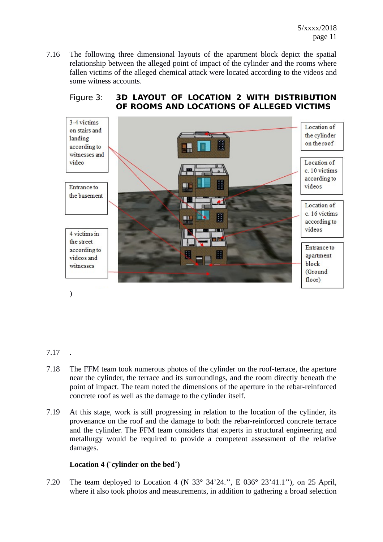7.16 The following three dimensional layouts of the apartment block depict the spatial relationship between the alleged point of impact of the cylinder and the rooms where fallen victims of the alleged chemical attack were located according to the videos and some witness accounts.



## Figure 3: **3D LAYOUT OF LOCATION 2 WITH DISTRIBUTION OF ROOMS AND LOCATIONS OF ALLEGED VICTIMS**

## 7.17 .

)

- 7.18 The FFM team took numerous photos of the cylinder on the roof-terrace, the aperture near the cylinder, the terrace and its surroundings, and the room directly beneath the point of impact. The team noted the dimensions of the aperture in the rebar-reinforced concrete roof as well as the damage to the cylinder itself.
- 7.19 At this stage, work is still progressing in relation to the location of the cylinder, its provenance on the roof and the damage to both the rebar-reinforced concrete terrace and the cylinder. The FFM team considers that experts in structural engineering and metallurgy would be required to provide a competent assessment of the relative damages.

#### **Location 4 (¨cylinder on the bed¨)**

7.20 The team deployed to Location 4 (N 33° 34'24.'', E 036° 23'41.1''), on 25 April, where it also took photos and measurements, in addition to gathering a broad selection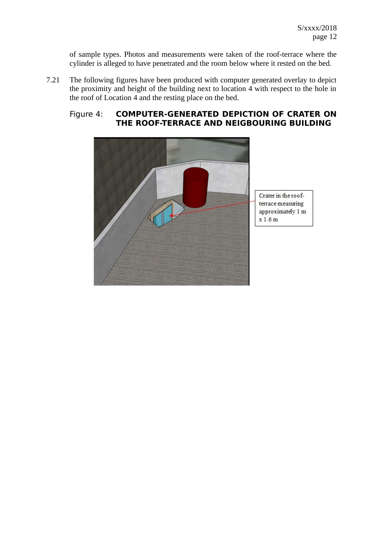of sample types. Photos and measurements were taken of the roof-terrace where the cylinder is alleged to have penetrated and the room below where it rested on the bed.

7.21 The following figures have been produced with computer generated overlay to depict the proximity and height of the building next to location 4 with respect to the hole in the roof of Location 4 and the resting place on the bed.

#### Figure 4: **COMPUTER-GENERATED DEPICTION OF CRATER ON THE ROOF-TERRACE AND NEIGBOURING BUILDING**

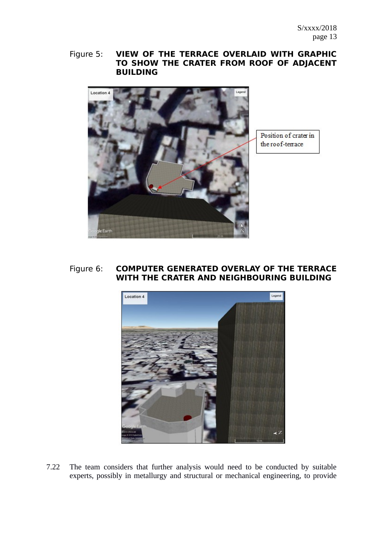## Figure 5: **VIEW OF THE TERRACE OVERLAID WITH GRAPHIC TO SHOW THE CRATER FROM ROOF OF ADJACENT BUILDING**



Position of crater in the roof-terrace

#### Figure 6: **COMPUTER GENERATED OVERLAY OF THE TERRACE WITH THE CRATER AND NEIGHBOURING BUILDING**



7.22 The team considers that further analysis would need to be conducted by suitable experts, possibly in metallurgy and structural or mechanical engineering, to provide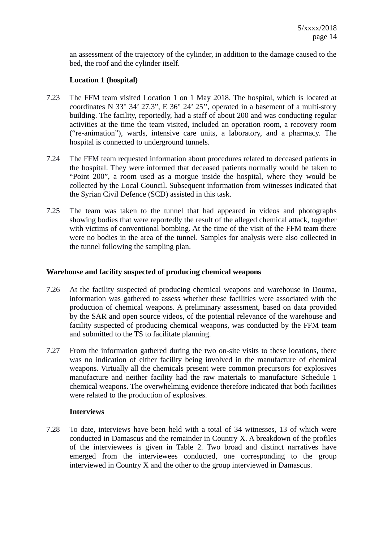an assessment of the trajectory of the cylinder, in addition to the damage caused to the bed, the roof and the cylinder itself.

#### **Location 1 (hospital)**

- 7.23 The FFM team visited Location 1 on 1 May 2018. The hospital, which is located at coordinates N 33° 34' 27.3", E 36° 24' 25'', operated in a basement of a multi-story building. The facility, reportedly, had a staff of about 200 and was conducting regular activities at the time the team visited, included an operation room, a recovery room ("re-animation"), wards, intensive care units, a laboratory, and a pharmacy. The hospital is connected to underground tunnels.
- 7.24 The FFM team requested information about procedures related to deceased patients in the hospital. They were informed that deceased patients normally would be taken to "Point 200", a room used as a morgue inside the hospital, where they would be collected by the Local Council. Subsequent information from witnesses indicated that the Syrian Civil Defence (SCD) assisted in this task.
- 7.25 The team was taken to the tunnel that had appeared in videos and photographs showing bodies that were reportedly the result of the alleged chemical attack, together with victims of conventional bombing. At the time of the visit of the FFM team there were no bodies in the area of the tunnel. Samples for analysis were also collected in the tunnel following the sampling plan.

#### **Warehouse and facility suspected of producing chemical weapons**

- 7.26 At the facility suspected of producing chemical weapons and warehouse in Douma, information was gathered to assess whether these facilities were associated with the production of chemical weapons. A preliminary assessment, based on data provided by the SAR and open source videos, of the potential relevance of the warehouse and facility suspected of producing chemical weapons, was conducted by the FFM team and submitted to the TS to facilitate planning.
- 7.27 From the information gathered during the two on-site visits to these locations, there was no indication of either facility being involved in the manufacture of chemical weapons. Virtually all the chemicals present were common precursors for explosives manufacture and neither facility had the raw materials to manufacture Schedule 1 chemical weapons. The overwhelming evidence therefore indicated that both facilities were related to the production of explosives.

#### **Interviews**

7.28 To date, interviews have been held with a total of 34 witnesses, 13 of which were conducted in Damascus and the remainder in Country X. A breakdown of the profiles of the interviewees is given in Table 2. Two broad and distinct narratives have emerged from the interviewees conducted, one corresponding to the group interviewed in Country X and the other to the group interviewed in Damascus.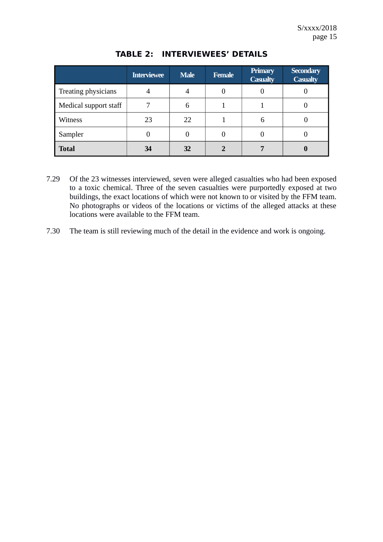|                       | <b>Interviewee</b> | <b>Male</b> | <b>Female</b> | <b>Primary</b><br><b>Casualty</b> | <b>Secondary</b><br><b>Casualty</b> |
|-----------------------|--------------------|-------------|---------------|-----------------------------------|-------------------------------------|
| Treating physicians   |                    | 4           |               | 0                                 |                                     |
| Medical support staff | 7                  | 6           |               |                                   |                                     |
| Witness               | 23                 | 22          |               | 6                                 |                                     |
| Sampler               |                    |             | U             | 0                                 |                                     |
| <b>Total</b>          | 34                 | 32          |               | 7                                 |                                     |

## **TABLE 2: INTERVIEWEES' DETAILS**

- 7.29 Of the 23 witnesses interviewed, seven were alleged casualties who had been exposed to a toxic chemical. Three of the seven casualties were purportedly exposed at two buildings, the exact locations of which were not known to or visited by the FFM team. No photographs or videos of the locations or victims of the alleged attacks at these locations were available to the FFM team.
- 7.30 The team is still reviewing much of the detail in the evidence and work is ongoing.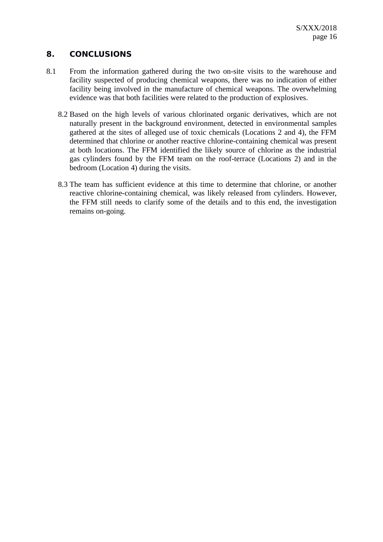## **8. CONCLUSIONS**

- 8.1 From the information gathered during the two on-site visits to the warehouse and facility suspected of producing chemical weapons, there was no indication of either facility being involved in the manufacture of chemical weapons. The overwhelming evidence was that both facilities were related to the production of explosives.
	- 8.2 Based on the high levels of various chlorinated organic derivatives, which are not naturally present in the background environment, detected in environmental samples gathered at the sites of alleged use of toxic chemicals (Locations 2 and 4), the FFM determined that chlorine or another reactive chlorine-containing chemical was present at both locations. The FFM identified the likely source of chlorine as the industrial gas cylinders found by the FFM team on the roof-terrace (Locations 2) and in the bedroom (Location 4) during the visits.
	- 8.3 The team has sufficient evidence at this time to determine that chlorine, or another reactive chlorine-containing chemical, was likely released from cylinders. However, the FFM still needs to clarify some of the details and to this end, the investigation remains on-going.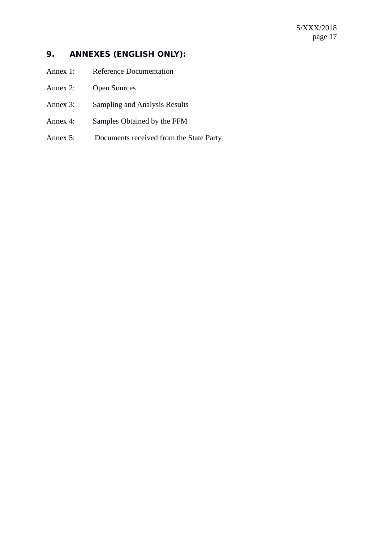## **9. ANNEXES (ENGLISH ONLY):**

- Annex 1: Reference Documentation
- Annex 2: Open Sources
- Annex 3: Sampling and Analysis Results
- Annex 4: Samples Obtained by the FFM
- Annex 5: Documents received from the State Party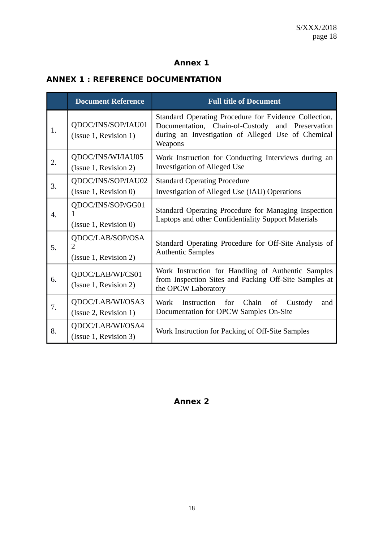## **Annex 1**

## **ANNEX 1 : REFERENCE DOCUMENTATION**

|    | <b>Document Reference</b>                       | <b>Full title of Document</b>                                                                                                                                              |  |  |  |  |  |
|----|-------------------------------------------------|----------------------------------------------------------------------------------------------------------------------------------------------------------------------------|--|--|--|--|--|
| 1. | QDOC/INS/SOP/IAU01<br>(Issue 1, Revision 1)     | Standard Operating Procedure for Evidence Collection,<br>Documentation, Chain-of-Custody and Preservation<br>during an Investigation of Alleged Use of Chemical<br>Weapons |  |  |  |  |  |
| 2. | QDOC/INS/WI/IAU05<br>(Issue 1, Revision 2)      | Work Instruction for Conducting Interviews during an<br><b>Investigation of Alleged Use</b>                                                                                |  |  |  |  |  |
| 3. | QDOC/INS/SOP/IAU02<br>(Issue 1, Revision 0)     | <b>Standard Operating Procedure</b><br>Investigation of Alleged Use (IAU) Operations                                                                                       |  |  |  |  |  |
| 4. | QDOC/INS/SOP/GG01<br>1<br>(Issue 1, Revision 0) | Standard Operating Procedure for Managing Inspection<br>Laptops and other Confidentiality Support Materials                                                                |  |  |  |  |  |
| 5. | QDOC/LAB/SOP/OSA<br>2<br>(Issue 1, Revision 2)  | Standard Operating Procedure for Off-Site Analysis of<br><b>Authentic Samples</b>                                                                                          |  |  |  |  |  |
| 6. | QDOC/LAB/WI/CS01<br>(Issue 1, Revision 2)       | Work Instruction for Handling of Authentic Samples<br>from Inspection Sites and Packing Off-Site Samples at<br>the OPCW Laboratory                                         |  |  |  |  |  |
| 7. | QDOC/LAB/WI/OSA3<br>(Issue 2, Revision 1)       | Work Instruction for Chain<br>Custody<br>of<br>and<br>Documentation for OPCW Samples On-Site                                                                               |  |  |  |  |  |
| 8. | QDOC/LAB/WI/OSA4<br>(Issue 1, Revision 3)       | Work Instruction for Packing of Off-Site Samples                                                                                                                           |  |  |  |  |  |

# **Annex 2**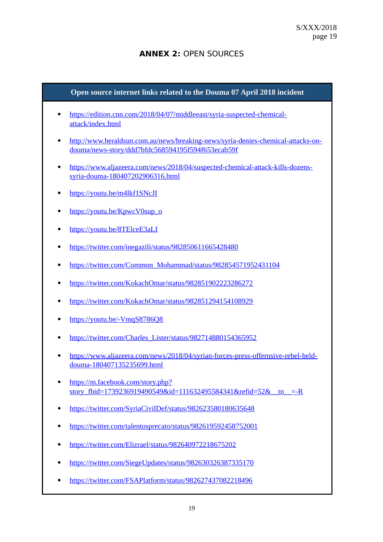## **ANNEX 2:** OPEN SOURCES

# **Open source internet links related to the Douma 07 April 2018 incident** • [https://edition.cnn.com/2018/04/07/middleeast/syria-suspected-chemical](https://edition.cnn.com/2018/04/07/middleeast/syria-suspected-chemical-attack/index.html)[attack/index.html](https://edition.cnn.com/2018/04/07/middleeast/syria-suspected-chemical-attack/index.html) [http://www.heraldsun.com.au/news/breaking-news/syria-denies-chemical-attacks-on](http://www.heraldsun.com.au/news/breaking-news/syria-denies-chemical-attacks-on-douma/news-story/ddd7bfdc568594195f594f653ecab59f)[douma/news-story/ddd7bfdc568594195f594f653ecab59f](http://www.heraldsun.com.au/news/breaking-news/syria-denies-chemical-attacks-on-douma/news-story/ddd7bfdc568594195f594f653ecab59f) [https://www.aljazeera.com/news/2018/04/suspected-chemical-attack-kills-dozens](https://www.aljazeera.com/news/2018/04/suspected-chemical-attack-kills-dozens-syria-douma-180407202906316.html)[syria-douma-180407202906316.html](https://www.aljazeera.com/news/2018/04/suspected-chemical-attack-kills-dozens-syria-douma-180407202906316.html) • <https://youtu.be/m4lkf1SNcJI> • [https://youtu.be/KpwcV0sup\\_o](https://youtu.be/KpwcV0sup_o) <https://youtu.be/8TElceE3aLI> • <https://twitter.com/inegazili/status/982850611665428480> • [https://twitter.com/Common\\_Mohammad/status/982854571952431104](https://twitter.com/Common_Mohammad/status/982854571952431104) <https://twitter.com/KokachOmar/status/982851902223286272> <https://twitter.com/KokachOmar/status/982851294154108929> • <https://youtu.be/-VmqS8786Q8> • [https://twitter.com/Charles\\_Lister/status/982714880154365952](https://twitter.com/Charles_Lister/status/982714880154365952) [https://www.aljazeera.com/news/2018/04/syrian-forces-press-offernsive-rebel-held](https://www.aljazeera.com/news/2018/04/syrian-forces-press-offernsive-rebel-held-douma-180407135235699.html)[douma-180407135235699.html](https://www.aljazeera.com/news/2018/04/syrian-forces-press-offernsive-rebel-held-douma-180407135235699.html) • [https://m.facebook.com/story.php?](https://m.facebook.com/story.php?story_fbid=1739236919490549&id=111632495584341&refid=52&__tn__=-R) story fbid=1739236919490549&id=111632495584341&refid=52&\_tn\_\_=-R <https://twitter.com/SyriaCivilDef/status/982623580180635648> <https://twitter.com/talentosprecato/status/982619592458752001> <https://twitter.com/Elizrael/status/982640972218675202> <https://twitter.com/SiegeUpdates/status/982630326387335170> <https://twitter.com/FSAPlatform/status/982627437082218496>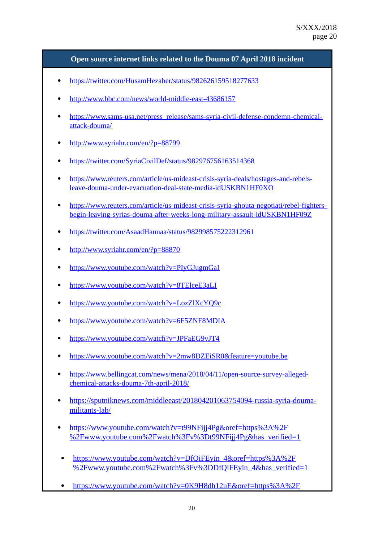#### **Open source internet links related to the Douma 07 April 2018 incident**

- <https://twitter.com/HusamHezaber/status/982626159518277633>
- <http://www.bbc.com/news/world-middle-east-43686157>
- [https://www.sams-usa.net/press\\_release/sams-syria-civil-defense-condemn-chemical](https://www.sams-usa.net/press_release/sams-syria-civil-defense-condemn-chemical-attack-douma/)[attack-douma/](https://www.sams-usa.net/press_release/sams-syria-civil-defense-condemn-chemical-attack-douma/)
- <http://www.syriahr.com/en/?p=88799>
- <https://twitter.com/SyriaCivilDef/status/982976756163514368>
- [https://www.reuters.com/article/us-mideast-crisis-syria-deals/hostages-and-rebels](https://www.reuters.com/article/us-mideast-crisis-syria-deals/hostages-and-rebels-leave-douma-under-evacuation-deal-state-media-idUSKBN1HF0XO)[leave-douma-under-evacuation-deal-state-media-idUSKBN1HF0XO](https://www.reuters.com/article/us-mideast-crisis-syria-deals/hostages-and-rebels-leave-douma-under-evacuation-deal-state-media-idUSKBN1HF0XO)
- [https://www.reuters.com/article/us-mideast-crisis-syria-ghouta-negotiati/rebel-fighters](https://www.reuters.com/article/us-mideast-crisis-syria-ghouta-negotiati/rebel-fighters-begin-leaving-syrias-douma-after-weeks-long-military-assault-idUSKBN1HF09Z)[begin-leaving-syrias-douma-after-weeks-long-military-assault-idUSKBN1HF09Z](https://www.reuters.com/article/us-mideast-crisis-syria-ghouta-negotiati/rebel-fighters-begin-leaving-syrias-douma-after-weeks-long-military-assault-idUSKBN1HF09Z)
- <https://twitter.com/AsaadHannaa/status/982998575222312961>
- <http://www.syriahr.com/en/?p=88870>
- <https://www.youtube.com/watch?v=PIyGJugmGaI>
- <https://www.youtube.com/watch?v=8TElceE3aLI>
- <https://www.youtube.com/watch?v=LozZlXcYQ9c>
- <https://www.youtube.com/watch?v=6F5ZNF8MDIA>
- <https://www.youtube.com/watch?v=JPFaEG9vJT4>
- <https://www.youtube.com/watch?v=2mw8DZEiSR0&feature=youtube.be>
- [https://www.bellingcat.com/news/mena/2018/04/11/open-source-survey-alleged](https://www.bellingcat.com/news/mena/2018/04/11/open-source-survey-alleged-chemical-attacks-douma-7th-april-2018/)[chemical-attacks-douma-7th-april-2018/](https://www.bellingcat.com/news/mena/2018/04/11/open-source-survey-alleged-chemical-attacks-douma-7th-april-2018/)
- [https://sputniknews.com/middleeast/201804201063754094-russia-syria-douma](https://sputniknews.com/middleeast/201804201063754094-russia-syria-douma-militants-lab/)[militants-lab/](https://sputniknews.com/middleeast/201804201063754094-russia-syria-douma-militants-lab/)
- [https://www.youtube.com/watch?v=t99NFijj4Pg&oref=https%3A%2F](https://www.youtube.com/watch?v=t99NFijj4Pg&oref=https%3A%2F%2Fwww.youtube.com%2Fwatch%3Fv%3Dt99NFijj4Pg&has_verified=1) [%2Fwww.youtube.com%2Fwatch%3Fv%3Dt99NFijj4Pg&has\\_verified=1](https://www.youtube.com/watch?v=t99NFijj4Pg&oref=https%3A%2F%2Fwww.youtube.com%2Fwatch%3Fv%3Dt99NFijj4Pg&has_verified=1)
- [https://www.youtube.com/watch?v=DfQiFEyin\\_4&oref=https%3A%2F](https://www.youtube.com/watch?v=DfQiFEyin_4&oref=https%3A%2F%2Fwww.youtube.com%2Fwatch%3Fv%3DDfQiFEyin_4&has_verified=1) [%2Fwww.youtube.com%2Fwatch%3Fv%3DDfQiFEyin\\_4&has\\_verified=1](https://www.youtube.com/watch?v=DfQiFEyin_4&oref=https%3A%2F%2Fwww.youtube.com%2Fwatch%3Fv%3DDfQiFEyin_4&has_verified=1)
- [https://www.youtube.com/watch?v=0K9H8dh12uE&oref=https%3A%2F](https://www.youtube.com/watch?v=0K9H8dh12uE&oref=https%3A%2F%2Fwww.youtube.com%2Fwatch%3Fv%3D0K9H8dh12uE&has_verified=1)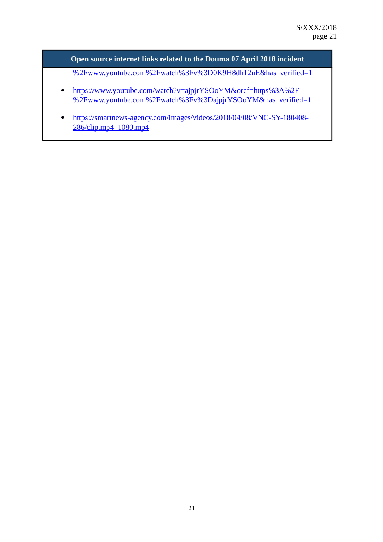**Open source internet links related to the Douma 07 April 2018 incident**

[%2Fwww.youtube.com%2Fwatch%3Fv%3D0K9H8dh12uE&has\\_verified=1](https://www.youtube.com/watch?v=0K9H8dh12uE&oref=https%3A%2F%2Fwww.youtube.com%2Fwatch%3Fv%3D0K9H8dh12uE&has_verified=1)

- [https://www.youtube.com/watch?v=ajpjrYSOoYM&oref=https%3A%2F](https://www.youtube.com/watch?v=ajpjrYSOoYM&oref=https%3A%2F%2Fwww.youtube.com%2Fwatch%3Fv%3DajpjrYSOoYM&has_verified=1) [%2Fwww.youtube.com%2Fwatch%3Fv%3DajpjrYSOoYM&has\\_verified=1](https://www.youtube.com/watch?v=ajpjrYSOoYM&oref=https%3A%2F%2Fwww.youtube.com%2Fwatch%3Fv%3DajpjrYSOoYM&has_verified=1)
- [https://smartnews-agency.com/images/videos/2018/04/08/VNC-SY-180408-](https://smartnews-agency.com/images/videos/2018/04/08/VNC-SY-180408-286/clip.mp4_1080.mp4) [286/clip.mp4\\_1080.mp4](https://smartnews-agency.com/images/videos/2018/04/08/VNC-SY-180408-286/clip.mp4_1080.mp4)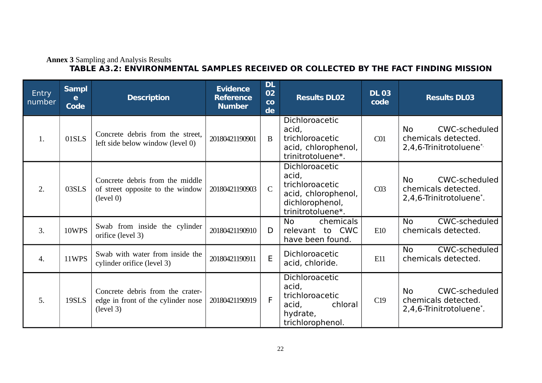#### **Annex 3** Sampling and Analysis Results **TABLE A3.2: ENVIRONMENTAL SAMPLES RECEIVED OR COLLECTED BY THE FACT FINDING MISSION**

| <b>Entry</b><br>number | <b>Sampl</b><br>e<br><b>Code</b> | <b>Description</b>                                                                  | <b>Evidence</b><br><b>Reference</b><br><b>Number</b> | <b>DL</b><br>02<br>co<br>de | <b>Results DL02</b>                                                                                       | <b>DL 03</b><br>code | <b>Results DL03</b>                                                                 |
|------------------------|----------------------------------|-------------------------------------------------------------------------------------|------------------------------------------------------|-----------------------------|-----------------------------------------------------------------------------------------------------------|----------------------|-------------------------------------------------------------------------------------|
| 1.                     | 01SLS                            | Concrete debris from the street,<br>left side below window (level 0)                | 20180421190901                                       | B                           | Dichloroacetic<br>acid,<br>trichloroacetic<br>acid, chlorophenol,<br>trinitrotoluene*.                    | C <sub>01</sub>      | CWC-scheduled<br><b>No</b><br>chemicals detected.<br>2,4,6-Trinitrotoluene*         |
| 2.                     | 03SLS                            | Concrete debris from the middle<br>of street opposite to the window<br>(level 0)    | 20180421190903                                       | $\mathsf{C}$                | Dichloroacetic<br>acid,<br>trichloroacetic<br>acid, chlorophenol,<br>dichlorophenol,<br>trinitrotoluene*. | C <sub>03</sub>      | CWC-scheduled<br>No.<br>chemicals detected.<br>2,4,6-Trinitrotoluene <sup>*</sup> . |
| 3.                     | 10WPS                            | Swab from inside the cylinder<br>orifice (level 3)                                  | 20180421190910                                       | D                           | <b>No</b><br>chemicals<br>relevant to CWC<br>have been found.                                             | E10                  | CWC-scheduled<br><b>No</b><br>chemicals detected.                                   |
| 4.                     | 11WPS                            | Swab with water from inside the<br>cylinder orifice (level 3)                       | 20180421190911                                       | E                           | Dichloroacetic<br>acid, chloride.                                                                         | E11                  | CWC-scheduled<br><b>No</b><br>chemicals detected.                                   |
| 5.                     | 19SLS                            | Concrete debris from the crater-<br>edge in front of the cylinder nose<br>(level 3) | 20180421190919                                       | F                           | Dichloroacetic<br>acid,<br>trichloroacetic<br>acid,<br>chloral<br>hydrate,<br>trichlorophenol.            | C19                  | CWC-scheduled<br>No.<br>chemicals detected.<br>2,4,6-Trinitrotoluene <sup>*</sup> . |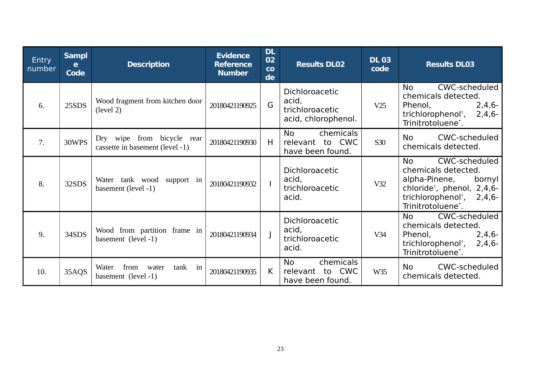| <b>Entry</b><br>number | <b>Sampl</b><br>e<br><b>Code</b> | <b>Description</b>                                            | <b>Evidence</b><br><b>Reference</b><br><b>Number</b> | <b>DL</b><br>02<br>co<br>de | <b>Results DL02</b>                                               | <b>DL 03</b><br>code | <b>Results DL03</b>                                                                                                                                                                  |
|------------------------|----------------------------------|---------------------------------------------------------------|------------------------------------------------------|-----------------------------|-------------------------------------------------------------------|----------------------|--------------------------------------------------------------------------------------------------------------------------------------------------------------------------------------|
| 6.                     | 25SDS                            | Wood fragment from kitchen door<br>(level 2)                  | 20180421190925                                       | G                           | Dichloroacetic<br>acid,<br>trichloroacetic<br>acid, chlorophenol. | V25                  | CWC-scheduled<br><b>No</b><br>chemicals detected.<br>Phenol,<br>$2,4,6-$<br>trichlorophenol <sup>†</sup> ,<br>$2,4,6-$<br>Trinitrotoluene*.                                          |
| 7.                     | 30WPS                            | Dry wipe from bicycle rear<br>cassette in basement (level -1) | 20180421190930                                       | H                           | chemicals<br><b>No</b><br>relevant to CWC<br>have been found.     | S30                  | CWC-scheduled<br><b>No</b><br>chemicals detected.                                                                                                                                    |
| 8.                     | 32SDS                            | Water tank wood support in<br>basement (level -1)             | 20180421190932                                       |                             | Dichloroacetic<br>acid,<br>trichloroacetic<br>acid.               | V32                  | CWC-scheduled<br><b>No</b><br>chemicals detected.<br>alpha-Pinene,<br>bornyl<br>chloride <sup>†</sup> , phenol, 2,4,6-<br>trichlorophenol <sup>†</sup> , 2,4,6-<br>Trinitrotoluene*. |
| 9.                     | 34SDS                            | Wood from partition frame in<br>basement (level -1)           | 20180421190934                                       |                             | Dichloroacetic<br>acid,<br>trichloroacetic<br>acid.               | V34                  | CWC-scheduled<br><b>No</b><br>chemicals detected.<br>$2,4,6-$<br>Phenol,<br>trichlorophenol <sup>†</sup> ,<br>$2,4,6-$<br>Trinitrotoluene*.                                          |
| 10.                    | 35AQS                            | from<br>tank in<br>Water<br>water<br>basement (level -1)      | 20180421190935                                       | $\mathsf{K}$                | chemicals<br>No<br>relevant to CWC<br>have been found.            | W35                  | CWC-scheduled<br>No.<br>chemicals detected.                                                                                                                                          |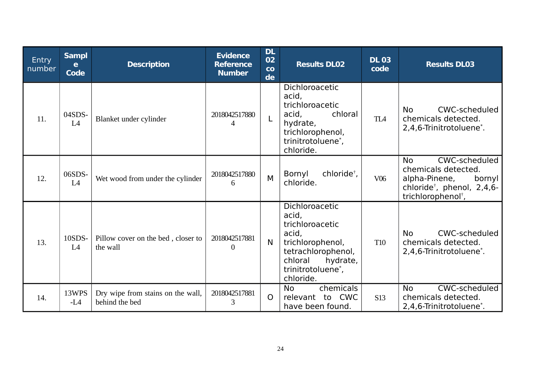| <b>Entry</b><br>number | <b>Sampl</b><br>e<br><b>Code</b> | <b>Description</b>                                  | <b>Evidence</b><br><b>Reference</b><br><b>Number</b> | <b>DL</b><br>02<br>co<br>de | <b>Results DL02</b>                                                                                                                                    | <b>DL 03</b><br>code | <b>Results DL03</b>                                                                                                                                      |
|------------------------|----------------------------------|-----------------------------------------------------|------------------------------------------------------|-----------------------------|--------------------------------------------------------------------------------------------------------------------------------------------------------|----------------------|----------------------------------------------------------------------------------------------------------------------------------------------------------|
| 11.                    | 04SDS-<br>L4                     | Blanket under cylinder                              | 2018042517880<br>4                                   | L                           | Dichloroacetic<br>acid,<br>trichloroacetic<br>acid.<br>chloral<br>hydrate,<br>trichlorophenol,<br>trinitrotoluene*,<br>chloride.                       | TL <sub>4</sub>      | CWC-scheduled<br><b>No</b><br>chemicals detected.<br>2,4,6-Trinitrotoluene <sup>*</sup> .                                                                |
| 12.                    | 06SDS-<br>L <sub>4</sub>         | Wet wood from under the cylinder                    | 2018042517880<br>6                                   | M                           | chloride <sup>†</sup> ,<br>Bornyl<br>chloride.                                                                                                         | V <sub>06</sub>      | CWC-scheduled<br><b>No</b><br>chemicals detected.<br>alpha-Pinene,<br>bornyl<br>chloride <sup>†</sup> , phenol, 2,4,6-<br>trichlorophenol <sup>†</sup> , |
| 13.                    | 10SDS-<br>L <sub>4</sub>         | Pillow cover on the bed, closer to<br>the wall      | 2018042517881<br>$\Omega$                            | N                           | Dichloroacetic<br>acid,<br>trichloroacetic<br>acid,<br>trichlorophenol,<br>tetrachlorophenol,<br>chloral<br>hydrate,<br>trinitrotoluene*,<br>chloride. | <b>T10</b>           | <b>No</b><br>CWC-scheduled<br>chemicals detected.<br>2,4,6-Trinitrotoluene <sup>*</sup> .                                                                |
| 14.                    | 13WPS<br>$-L4$                   | Dry wipe from stains on the wall,<br>behind the bed | 2018042517881<br>3                                   | $\Omega$                    | chemicals<br><b>No</b><br>relevant to CWC<br>have been found.                                                                                          | <b>S13</b>           | CWC-scheduled<br><b>No</b><br>chemicals detected.<br>2,4,6-Trinitrotoluene <sup>*</sup> .                                                                |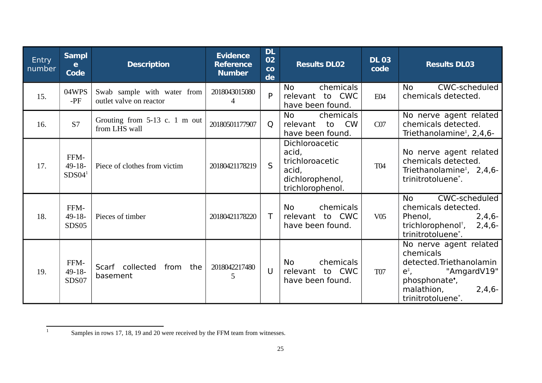| <b>Entry</b><br>number | <b>Sampl</b><br>e<br><b>Code</b>        | <b>Description</b>                                     | <b>Evidence</b><br><b>Reference</b><br><b>Number</b> | <b>DL</b><br>02<br>co<br>de | <b>Results DL02</b>                                                                        | <b>DL 03</b><br>code | <b>Results DL03</b>                                                                                                                                                                |
|------------------------|-----------------------------------------|--------------------------------------------------------|------------------------------------------------------|-----------------------------|--------------------------------------------------------------------------------------------|----------------------|------------------------------------------------------------------------------------------------------------------------------------------------------------------------------------|
| 15.                    | 04WPS<br>$-PF$                          | Swab sample with water from<br>outlet valve on reactor | 2018043015080<br>4                                   | P                           | chemicals<br><b>No</b><br>relevant to CWC<br>have been found.                              | E04                  | CWC-scheduled<br><b>No</b><br>chemicals detected.                                                                                                                                  |
| 16.                    | S7                                      | Grouting from 5-13 c. 1 m out<br>from LHS wall         | 20180501177907                                       | Q                           | chemicals<br><b>No</b><br><b>CW</b><br>relevant<br>to<br>have been found.                  | CO <sub>7</sub>      | No nerve agent related<br>chemicals detected.<br>Triethanolamine <sup>#</sup> , 2,4,6-                                                                                             |
| 17.                    | FFM-<br>$49 - 18$<br>SDS04 <sup>1</sup> | Piece of clothes from victim                           | 20180421178219                                       | $\mathsf{S}$                | Dichloroacetic<br>acid,<br>trichloroacetic<br>acid,<br>dichlorophenol,<br>trichlorophenol. | <b>T04</b>           | No nerve agent related<br>chemicals detected.<br>Triethanolamine <sup>#</sup> , 2,4,6-<br>trinitrotoluene*.                                                                        |
| 18.                    | FFM-<br>$49-18-$<br><b>SDS05</b>        | Pieces of timber                                       | 20180421178220                                       |                             | chemicals<br><b>No</b><br>relevant to CWC<br>have been found.                              | V05                  | CWC-scheduled<br><b>No</b><br>chemicals detected.<br>Phenol,<br>$2,4,6-$<br>trichlorophenol <sup>†</sup> ,<br>$2,4,6-$<br>trinitrotoluene*.                                        |
| 19.                    | FFM-<br>49-18-<br>SDS07                 | Scarf collected<br>from the<br>basement                | 2018042217480<br>5                                   | $\cup$                      | chemicals<br><b>No</b><br>relevant to CWC<br>have been found.                              | <b>T07</b>           | No nerve agent related<br>chemicals<br>detected.Triethanolamin<br>"AmgardV19"<br>$e^*$ ,<br>phosphonate <sup>*</sup> ,<br>malathion,<br>$2,4,6-$<br>trinitrotoluene <sup>*</sup> . |

<span id="page-24-0"></span><sup>1</sup> Samples in rows 17, 18, 19 and 20 were received by the FFM team from witnesses.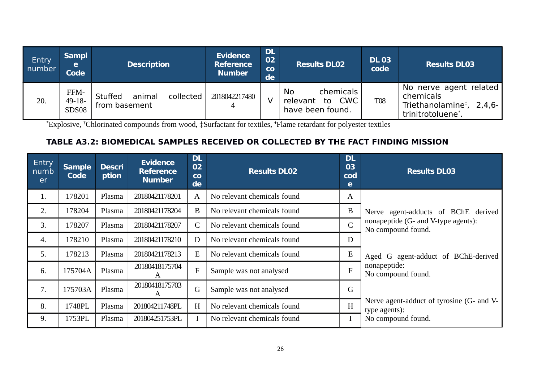| Entry<br>number | <b>Sampl</b><br>e<br><b>Code</b>    | <b>Description</b>                              | <b>Evidence</b><br><b>Reference</b><br><b>Number</b> | <b>DL</b><br>02<br>$_{\rm CO}$<br>de | <b>Results DL02</b>                                                  | <b>DL 03</b><br>code | <b>Results DL03</b>                                                                               |
|-----------------|-------------------------------------|-------------------------------------------------|------------------------------------------------------|--------------------------------------|----------------------------------------------------------------------|----------------------|---------------------------------------------------------------------------------------------------|
| 20.             | FFM-<br>$49 - 18 -$<br><b>SDS08</b> | animal<br>collected<br>Stuffed<br>from basement | 2018042217480                                        |                                      | chemicals<br>No.<br><b>CWC</b><br>to<br>relevant<br>have been found. | <b>T08</b>           | No nerve agent related<br>chemicals<br>Triethanolamine <sup>#</sup> , 2,4,6-<br>trinitrotoluene*. |

\*Explosive, †Chlorinated compounds from wood, ‡Surfactant for textiles, ♦Flame retardant for polyester textiles

# **TABLE A3.2: BIOMEDICAL SAMPLES RECEIVED OR COLLECTED BY THE FACT FINDING MISSION**

| Entry<br>numb<br>er | <b>Sample</b><br>Code | <b>Descri</b><br>ption | <b>Evidence</b><br><b>Reference</b><br><b>Number</b> | <b>DL</b><br>02<br>$\overline{c}$<br>de | <b>Results DL02</b>         | <b>DL</b><br>03<br>cod<br>e | <b>Results DL03</b>                                        |
|---------------------|-----------------------|------------------------|------------------------------------------------------|-----------------------------------------|-----------------------------|-----------------------------|------------------------------------------------------------|
| 1.                  | 178201                | Plasma                 | 20180421178201                                       | $\boldsymbol{A}$                        | No relevant chemicals found | A                           |                                                            |
| 2.                  | 178204                | Plasma                 | 20180421178204                                       | B                                       | No relevant chemicals found | B                           | Nerve agent-adducts of BChE derived                        |
| 3.                  | 178207                | Plasma                 | 20180421178207                                       | $\mathsf{C}$                            | No relevant chemicals found | $\mathsf{C}$                | nonapeptide (G- and V-type agents):<br>No compound found.  |
| 4.                  | 178210                | Plasma                 | 20180421178210                                       | D                                       | No relevant chemicals found | D                           |                                                            |
| 5.                  | 178213                | Plasma                 | 20180421178213                                       | E                                       | No relevant chemicals found | E                           | Aged G agent-adduct of BChE-derived                        |
| 6.                  | 175704A               | Plasma                 | 20180418175704<br>Α                                  | $\mathbf{F}$                            | Sample was not analysed     | $\overline{\mathrm{F}}$     | nonapeptide:<br>No compound found.                         |
| 7.                  | 175703A               | Plasma                 | 20180418175703<br>A                                  | $\mathsf G$                             | Sample was not analysed     | G                           |                                                            |
| 8.                  | 1748PL                | Plasma                 | 201804211748PL                                       | H                                       | No relevant chemicals found | H                           | Nerve agent-adduct of tyrosine (G- and V-<br>type agents): |
| 9.                  | 1753PL                | Plasma                 | 201804251753PL                                       |                                         | No relevant chemicals found |                             | No compound found.                                         |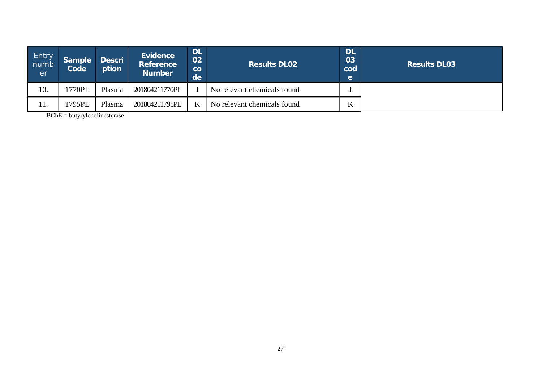| Entry<br>numb<br>er | <b>Sample</b><br><b>Code</b> | <b>Descri</b><br>ption | <b>Evidence</b><br><b>Reference</b><br><b>Number</b> | <b>DL</b><br>02<br>$\overline{\mathbf{C}}$<br>de | <b>DL</b><br>$\overline{03}$<br><b>Results DL02</b><br>cod |   | <b>Results DL03</b> |
|---------------------|------------------------------|------------------------|------------------------------------------------------|--------------------------------------------------|------------------------------------------------------------|---|---------------------|
| 10.                 | 1770PL                       | Plasma                 | 201804211770PL                                       |                                                  | No relevant chemicals found                                |   |                     |
| 11.                 | 1795PL                       | Plasma                 | 201804211795PL                                       | K                                                | No relevant chemicals found                                | K |                     |

BChE = butyrylcholinesterase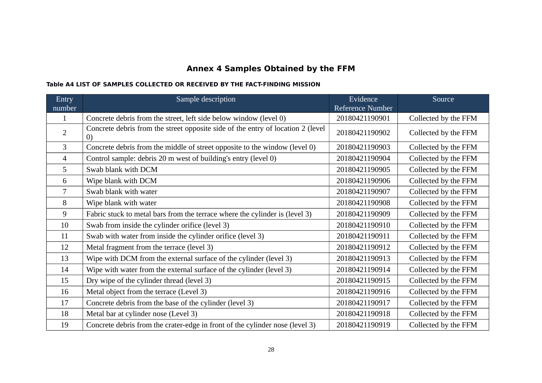# **Annex 4 Samples Obtained by the FFM**

#### **Table A4 LIST OF SAMPLES COLLECTED OR RECEIVED BY THE FACT-FINDING MISSION**

| Entry          | Sample description                                                                     | Evidence         | Source               |
|----------------|----------------------------------------------------------------------------------------|------------------|----------------------|
| number         |                                                                                        | Reference Number |                      |
| $\mathbf{1}$   | Concrete debris from the street, left side below window (level 0)                      | 20180421190901   | Collected by the FFM |
| $\overline{2}$ | Concrete debris from the street opposite side of the entry of location 2 (level<br>(0) | 20180421190902   | Collected by the FFM |
| 3              | Concrete debris from the middle of street opposite to the window (level 0)             | 20180421190903   | Collected by the FFM |
| 4              | Control sample: debris 20 m west of building's entry (level 0)                         | 20180421190904   | Collected by the FFM |
| 5              | Swab blank with DCM                                                                    | 20180421190905   | Collected by the FFM |
| 6              | Wipe blank with DCM                                                                    | 20180421190906   | Collected by the FFM |
| 7              | Swab blank with water                                                                  | 20180421190907   | Collected by the FFM |
| 8              | Wipe blank with water                                                                  | 20180421190908   | Collected by the FFM |
| 9              | Fabric stuck to metal bars from the terrace where the cylinder is (level 3)            | 20180421190909   | Collected by the FFM |
| 10             | Swab from inside the cylinder orifice (level 3)                                        | 20180421190910   | Collected by the FFM |
| 11             | Swab with water from inside the cylinder orifice (level 3)                             | 20180421190911   | Collected by the FFM |
| 12             | Metal fragment from the terrace (level 3)                                              | 20180421190912   | Collected by the FFM |
| 13             | Wipe with DCM from the external surface of the cylinder (level 3)                      | 20180421190913   | Collected by the FFM |
| 14             | Wipe with water from the external surface of the cylinder (level 3)                    | 20180421190914   | Collected by the FFM |
| 15             | Dry wipe of the cylinder thread (level 3)                                              | 20180421190915   | Collected by the FFM |
| 16             | Metal object from the terrace (Level 3)                                                | 20180421190916   | Collected by the FFM |
| 17             | Concrete debris from the base of the cylinder (level 3)                                | 20180421190917   | Collected by the FFM |
| 18             | Metal bar at cylinder nose (Level 3)                                                   | 20180421190918   | Collected by the FFM |
| 19             | Concrete debris from the crater-edge in front of the cylinder nose (level 3)           | 20180421190919   | Collected by the FFM |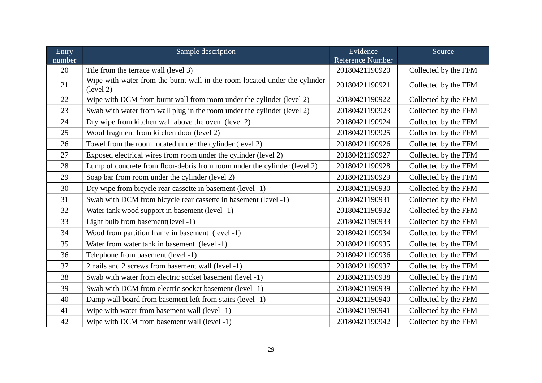| Entry  | Sample description                                                                      | Evidence         | Source               |
|--------|-----------------------------------------------------------------------------------------|------------------|----------------------|
| number |                                                                                         | Reference Number |                      |
| 20     | Tile from the terrace wall (level 3)                                                    | 20180421190920   | Collected by the FFM |
| 21     | Wipe with water from the burnt wall in the room located under the cylinder<br>(level 2) | 20180421190921   | Collected by the FFM |
| 22     | Wipe with DCM from burnt wall from room under the cylinder (level 2)                    | 20180421190922   | Collected by the FFM |
| 23     | Swab with water from wall plug in the room under the cylinder (level 2)                 | 20180421190923   | Collected by the FFM |
| 24     | Dry wipe from kitchen wall above the oven (level 2)                                     | 20180421190924   | Collected by the FFM |
| 25     | Wood fragment from kitchen door (level 2)                                               | 20180421190925   | Collected by the FFM |
| 26     | Towel from the room located under the cylinder (level 2)                                | 20180421190926   | Collected by the FFM |
| 27     | Exposed electrical wires from room under the cylinder (level 2)                         | 20180421190927   | Collected by the FFM |
| 28     | Lump of concrete from floor-debris from room under the cylinder (level 2)               | 20180421190928   | Collected by the FFM |
| 29     | Soap bar from room under the cylinder (level 2)                                         | 20180421190929   | Collected by the FFM |
| 30     | Dry wipe from bicycle rear cassette in basement (level -1)                              | 20180421190930   | Collected by the FFM |
| 31     | Swab with DCM from bicycle rear cassette in basement (level -1)                         | 20180421190931   | Collected by the FFM |
| 32     | Water tank wood support in basement (level -1)                                          | 20180421190932   | Collected by the FFM |
| 33     | Light bulb from basement(level -1)                                                      | 20180421190933   | Collected by the FFM |
| 34     | Wood from partition frame in basement (level -1)                                        | 20180421190934   | Collected by the FFM |
| 35     | Water from water tank in basement (level -1)                                            | 20180421190935   | Collected by the FFM |
| 36     | Telephone from basement (level -1)                                                      | 20180421190936   | Collected by the FFM |
| 37     | 2 nails and 2 screws from basement wall (level -1)                                      | 20180421190937   | Collected by the FFM |
| 38     | Swab with water from electric socket basement (level -1)                                | 20180421190938   | Collected by the FFM |
| 39     | Swab with DCM from electric socket basement (level -1)                                  | 20180421190939   | Collected by the FFM |
| 40     | Damp wall board from basement left from stairs (level -1)                               | 20180421190940   | Collected by the FFM |
| 41     | Wipe with water from basement wall (level -1)                                           | 20180421190941   | Collected by the FFM |
| 42     | Wipe with DCM from basement wall (level -1)                                             | 20180421190942   | Collected by the FFM |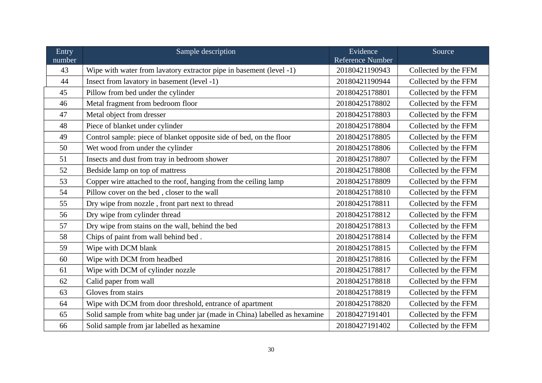| Entry  | Sample description                                                         | Evidence         | Source               |  |
|--------|----------------------------------------------------------------------------|------------------|----------------------|--|
| number |                                                                            | Reference Number |                      |  |
| 43     | Wipe with water from lavatory extractor pipe in basement (level -1)        | 20180421190943   | Collected by the FFM |  |
| 44     | Insect from lavatory in basement (level -1)                                | 20180421190944   | Collected by the FFM |  |
| 45     | Pillow from bed under the cylinder                                         | 20180425178801   | Collected by the FFM |  |
| 46     | Metal fragment from bedroom floor                                          | 20180425178802   | Collected by the FFM |  |
| 47     | Metal object from dresser                                                  | 20180425178803   | Collected by the FFM |  |
| 48     | Piece of blanket under cylinder                                            | 20180425178804   | Collected by the FFM |  |
| 49     | Control sample: piece of blanket opposite side of bed, on the floor        | 20180425178805   | Collected by the FFM |  |
| 50     | Wet wood from under the cylinder                                           | 20180425178806   | Collected by the FFM |  |
| 51     | Insects and dust from tray in bedroom shower                               | 20180425178807   | Collected by the FFM |  |
| 52     | Bedside lamp on top of mattress                                            | 20180425178808   | Collected by the FFM |  |
| 53     | Copper wire attached to the roof, hanging from the ceiling lamp            | 20180425178809   | Collected by the FFM |  |
| 54     | Pillow cover on the bed, closer to the wall                                | 20180425178810   | Collected by the FFM |  |
| 55     | Dry wipe from nozzle, front part next to thread                            | 20180425178811   | Collected by the FFM |  |
| 56     | Dry wipe from cylinder thread                                              | 20180425178812   | Collected by the FFM |  |
| 57     | Dry wipe from stains on the wall, behind the bed                           | 20180425178813   | Collected by the FFM |  |
| 58     | Chips of paint from wall behind bed.                                       | 20180425178814   | Collected by the FFM |  |
| 59     | Wipe with DCM blank                                                        | 20180425178815   | Collected by the FFM |  |
| 60     | Wipe with DCM from headbed                                                 | 20180425178816   | Collected by the FFM |  |
| 61     | Wipe with DCM of cylinder nozzle                                           | 20180425178817   | Collected by the FFM |  |
| 62     | Calid paper from wall                                                      | 20180425178818   | Collected by the FFM |  |
| 63     | Gloves from stairs                                                         | 20180425178819   | Collected by the FFM |  |
| 64     | Wipe with DCM from door threshold, entrance of apartment                   | 20180425178820   | Collected by the FFM |  |
| 65     | Solid sample from white bag under jar (made in China) labelled as hexamine | 20180427191401   | Collected by the FFM |  |
| 66     | Solid sample from jar labelled as hexamine                                 | 20180427191402   | Collected by the FFM |  |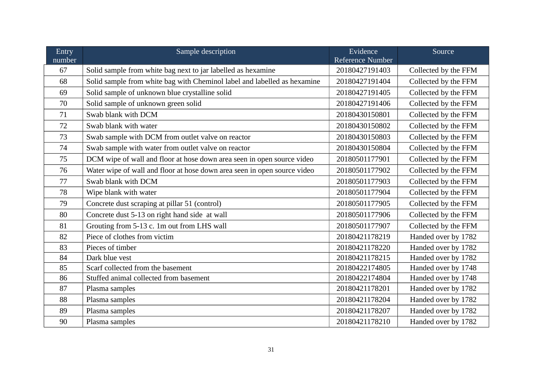| Entry  | Sample description                                                       | Evidence<br>Reference Number           | Source               |  |
|--------|--------------------------------------------------------------------------|----------------------------------------|----------------------|--|
| number |                                                                          |                                        |                      |  |
| 67     | Solid sample from white bag next to jar labelled as hexamine             | 20180427191403                         | Collected by the FFM |  |
| 68     | Solid sample from white bag with Cheminol label and labelled as hexamine | 20180427191404                         | Collected by the FFM |  |
| 69     | Solid sample of unknown blue crystalline solid                           | 20180427191405                         | Collected by the FFM |  |
| 70     | Solid sample of unknown green solid                                      | 20180427191406                         | Collected by the FFM |  |
| 71     | Swab blank with DCM                                                      | Collected by the FFM<br>20180430150801 |                      |  |
| 72     | Swab blank with water                                                    | 20180430150802                         | Collected by the FFM |  |
| 73     | Swab sample with DCM from outlet valve on reactor                        | 20180430150803                         | Collected by the FFM |  |
| 74     | Swab sample with water from outlet valve on reactor                      | 20180430150804                         | Collected by the FFM |  |
| 75     | DCM wipe of wall and floor at hose down area seen in open source video   | 20180501177901                         | Collected by the FFM |  |
| 76     | Water wipe of wall and floor at hose down area seen in open source video | 20180501177902                         | Collected by the FFM |  |
| 77     | Swab blank with DCM                                                      | 20180501177903                         | Collected by the FFM |  |
| 78     | Wipe blank with water                                                    | 20180501177904                         | Collected by the FFM |  |
| 79     | Concrete dust scraping at pillar 51 (control)                            | 20180501177905                         | Collected by the FFM |  |
| 80     | Concrete dust 5-13 on right hand side at wall                            | 20180501177906                         | Collected by the FFM |  |
| 81     | Grouting from 5-13 c. 1m out from LHS wall                               | 20180501177907                         | Collected by the FFM |  |
| 82     | Piece of clothes from victim                                             | 20180421178219                         | Handed over by 1782  |  |
| 83     | Pieces of timber                                                         | 20180421178220                         | Handed over by 1782  |  |
| 84     | Dark blue vest                                                           | 20180421178215                         | Handed over by 1782  |  |
| 85     | Scarf collected from the basement                                        | 20180422174805                         | Handed over by 1748  |  |
| 86     | Stuffed animal collected from basement                                   | 20180422174804                         | Handed over by 1748  |  |
| 87     | Plasma samples                                                           | 20180421178201                         | Handed over by 1782  |  |
| 88     | Plasma samples                                                           | 20180421178204                         | Handed over by 1782  |  |
| 89     | Plasma samples                                                           | 20180421178207                         | Handed over by 1782  |  |
| 90     | Plasma samples                                                           | 20180421178210                         | Handed over by 1782  |  |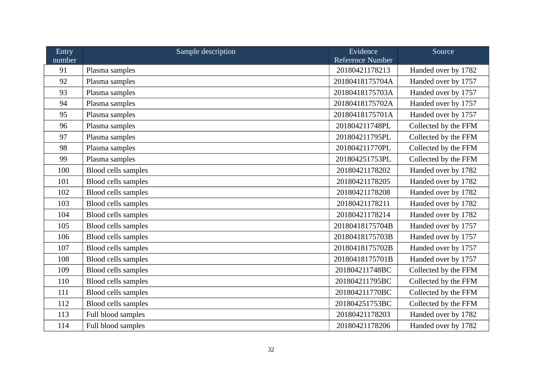| Entry<br>number | Sample description  | Evidence<br>Reference Number | Source               |  |
|-----------------|---------------------|------------------------------|----------------------|--|
| 91              | Plasma samples      | 20180421178213               | Handed over by 1782  |  |
| 92              | Plasma samples      | 20180418175704A              | Handed over by 1757  |  |
| 93              | Plasma samples      | 20180418175703A              | Handed over by 1757  |  |
| 94              | Plasma samples      | 20180418175702A              | Handed over by 1757  |  |
| 95              | Plasma samples      | 20180418175701A              | Handed over by 1757  |  |
| 96              | Plasma samples      | 201804211748PL               | Collected by the FFM |  |
| 97              | Plasma samples      | 201804211795PL               | Collected by the FFM |  |
| 98              | Plasma samples      | 201804211770PL               | Collected by the FFM |  |
| 99              | Plasma samples      | 201804251753PL               | Collected by the FFM |  |
| 100             | Blood cells samples | 20180421178202               | Handed over by 1782  |  |
| 101             | Blood cells samples | 20180421178205               | Handed over by 1782  |  |
| 102             | Blood cells samples | 20180421178208               | Handed over by 1782  |  |
| 103             | Blood cells samples | 20180421178211               | Handed over by 1782  |  |
| 104             | Blood cells samples | 20180421178214               | Handed over by 1782  |  |
| 105             | Blood cells samples | 20180418175704B              | Handed over by 1757  |  |
| 106             | Blood cells samples | 20180418175703B              | Handed over by 1757  |  |
| 107             | Blood cells samples | 20180418175702B              | Handed over by 1757  |  |
| 108             | Blood cells samples | 20180418175701B              | Handed over by 1757  |  |
| 109             | Blood cells samples | 201804211748BC               | Collected by the FFM |  |
| 110             | Blood cells samples | 201804211795BC               | Collected by the FFM |  |
| 111             | Blood cells samples | 201804211770BC               | Collected by the FFM |  |
| 112             | Blood cells samples | 201804251753BC               | Collected by the FFM |  |
| 113             | Full blood samples  | 20180421178203               | Handed over by 1782  |  |
| 114             | Full blood samples  | 20180421178206               | Handed over by 1782  |  |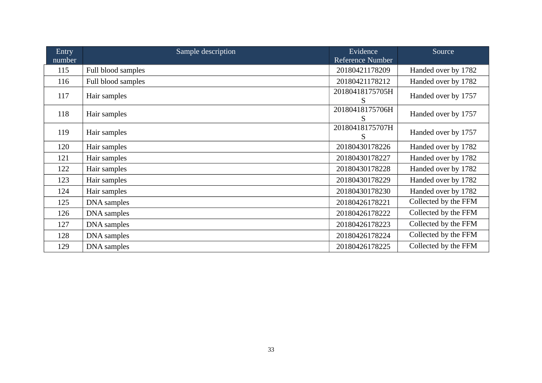| Entry<br>number | Sample description | Evidence<br>Reference Number | Source               |  |
|-----------------|--------------------|------------------------------|----------------------|--|
| 115             | Full blood samples | 20180421178209               | Handed over by 1782  |  |
| 116             | Full blood samples | 20180421178212               | Handed over by 1782  |  |
| 117             | Hair samples       | 20180418175705H<br>S         | Handed over by 1757  |  |
| 118             | Hair samples       | 20180418175706H<br>S         | Handed over by 1757  |  |
| 119             | Hair samples       | 20180418175707H<br>S         | Handed over by 1757  |  |
| 120             | Hair samples       | 20180430178226               | Handed over by 1782  |  |
| 121             | Hair samples       | 20180430178227               | Handed over by 1782  |  |
| 122             | Hair samples       | 20180430178228               | Handed over by 1782  |  |
| 123             | Hair samples       | 20180430178229               | Handed over by 1782  |  |
| 124             | Hair samples       | 20180430178230               | Handed over by 1782  |  |
| 125             | DNA samples        | 20180426178221               | Collected by the FFM |  |
| 126             | DNA samples        | 20180426178222               | Collected by the FFM |  |
| 127             | DNA samples        | 20180426178223               | Collected by the FFM |  |
| 128             | DNA samples        | 20180426178224               | Collected by the FFM |  |
| 129             | DNA samples        | 20180426178225               | Collected by the FFM |  |